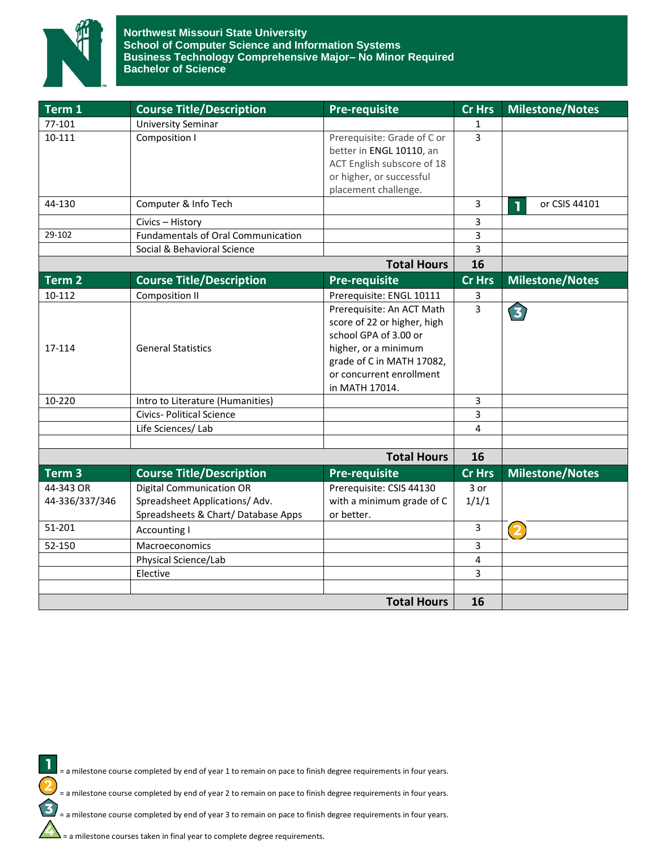

## **Northwest Missouri State University School of Computer Science and Information Systems Business Technology Comprehensive Major– No Minor Required Bachelor of Science**

| Term <sub>1</sub> | <b>Course Title/Description</b>           | <b>Pre-requisite</b>        | <b>Cr Hrs</b> | <b>Milestone/Notes</b> |
|-------------------|-------------------------------------------|-----------------------------|---------------|------------------------|
| 77-101            | <b>University Seminar</b>                 |                             | 1             |                        |
| 10-111            | Composition I                             | Prerequisite: Grade of C or | 3             |                        |
|                   |                                           | better in ENGL 10110, an    |               |                        |
|                   |                                           | ACT English subscore of 18  |               |                        |
|                   |                                           | or higher, or successful    |               |                        |
|                   |                                           | placement challenge.        |               |                        |
| 44-130            | Computer & Info Tech                      |                             | 3             | or CSIS 44101<br>1     |
|                   | Civics - History                          |                             | 3             |                        |
| 29-102            | <b>Fundamentals of Oral Communication</b> |                             | 3             |                        |
|                   | Social & Behavioral Science               |                             | 3             |                        |
|                   |                                           | <b>Total Hours</b>          | 16            |                        |
| Term 2            | <b>Course Title/Description</b>           | <b>Pre-requisite</b>        | <b>Cr Hrs</b> | <b>Milestone/Notes</b> |
| 10-112            | Composition II                            | Prerequisite: ENGL 10111    | 3             |                        |
|                   |                                           | Prerequisite: An ACT Math   | 3             | 3                      |
|                   |                                           | score of 22 or higher, high |               |                        |
|                   |                                           | school GPA of 3.00 or       |               |                        |
| 17-114            | <b>General Statistics</b>                 | higher, or a minimum        |               |                        |
|                   |                                           | grade of C in MATH 17082,   |               |                        |
|                   |                                           | or concurrent enrollment    |               |                        |
|                   |                                           | in MATH 17014.              |               |                        |
| 10-220            | Intro to Literature (Humanities)          |                             | 3             |                        |
|                   | <b>Civics- Political Science</b>          |                             | 3             |                        |
|                   | Life Sciences/ Lab                        |                             | 4             |                        |
|                   |                                           |                             |               |                        |
|                   |                                           | <b>Total Hours</b>          | 16            |                        |
| Term 3            | <b>Course Title/Description</b>           | <b>Pre-requisite</b>        | <b>Cr Hrs</b> | <b>Milestone/Notes</b> |
| 44-343 OR         | <b>Digital Communication OR</b>           | Prerequisite: CSIS 44130    | 3 or          |                        |
| 44-336/337/346    | Spreadsheet Applications/Adv.             | with a minimum grade of C   | 1/1/1         |                        |
|                   | Spreadsheets & Chart/Database Apps        | or better.                  |               |                        |
| 51-201            | Accounting I                              |                             | 3             | $\overline{2}$         |
| 52-150            | <b>Macroeconomics</b>                     |                             | 3             |                        |
|                   | Physical Science/Lab                      |                             | 4             |                        |
|                   | Elective                                  |                             | 3             |                        |
|                   |                                           |                             |               |                        |
|                   |                                           | 16                          |               |                        |

 $\mathbf{I}$ = a milestone course completed by end of year 1 to remain on pace to finish degree requirements in four years.

= a milestone course completed by end of year 2 to remain on pace to finish degree requirements in four years.

= a milestone course completed by end of year 3 to remain on pace to finish degree requirements in four years.

= a milestone courses taken in final year to complete degree requirements.

 $\overline{\mathbf{c}}$ 

 $\mathbf{E}$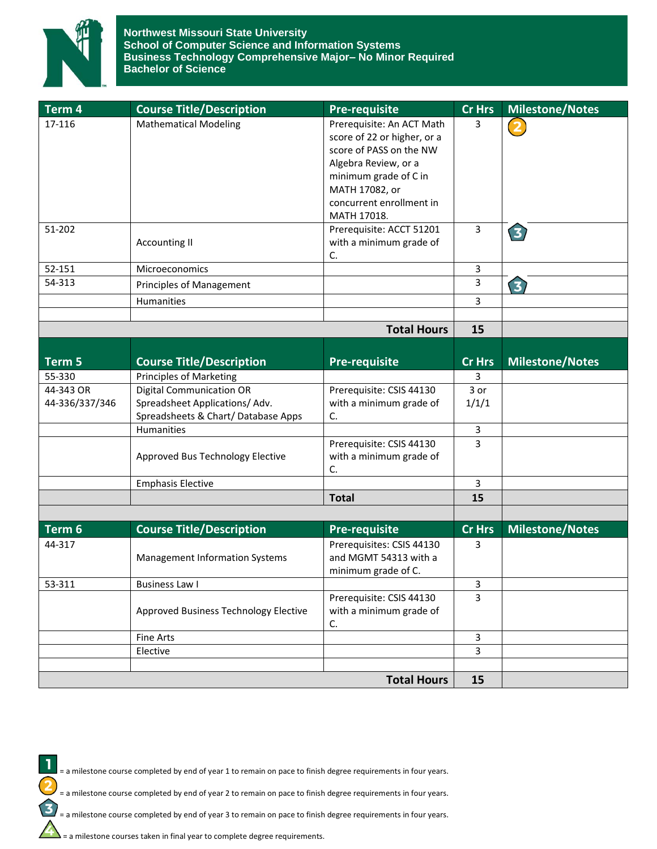

**Northwest Missouri State University School of Computer Science and Information Systems Business Technology Comprehensive Major– No Minor Required Bachelor of Science**

| Term 4         | <b>Course Title/Description</b>                                     | <b>Pre-requisite</b>                                                                                                                                                                              | <b>Cr Hrs</b>  | <b>Milestone/Notes</b> |
|----------------|---------------------------------------------------------------------|---------------------------------------------------------------------------------------------------------------------------------------------------------------------------------------------------|----------------|------------------------|
| 17-116         | <b>Mathematical Modeling</b>                                        | Prerequisite: An ACT Math<br>score of 22 or higher, or a<br>score of PASS on the NW<br>Algebra Review, or a<br>minimum grade of C in<br>MATH 17082, or<br>concurrent enrollment in<br>MATH 17018. | 3              |                        |
| 51-202         | <b>Accounting II</b>                                                | Prerequisite: ACCT 51201<br>with a minimum grade of<br>C.                                                                                                                                         | $\mathbf{3}$   | $\mathbf{z}$           |
| 52-151         | Microeconomics                                                      |                                                                                                                                                                                                   | 3              |                        |
| 54-313         | Principles of Management                                            |                                                                                                                                                                                                   | 3              | 3                      |
|                | Humanities                                                          |                                                                                                                                                                                                   | 3              |                        |
|                |                                                                     |                                                                                                                                                                                                   |                |                        |
|                |                                                                     | <b>Total Hours</b>                                                                                                                                                                                | 15             |                        |
| Term 5         | <b>Course Title/Description</b>                                     | <b>Pre-requisite</b>                                                                                                                                                                              | <b>Cr Hrs</b>  | <b>Milestone/Notes</b> |
| 55-330         | <b>Principles of Marketing</b>                                      |                                                                                                                                                                                                   | 3              |                        |
| 44-343 OR      | <b>Digital Communication OR</b>                                     | Prerequisite: CSIS 44130                                                                                                                                                                          | 3 or           |                        |
| 44-336/337/346 | Spreadsheet Applications/Adv.<br>Spreadsheets & Chart/Database Apps | with a minimum grade of<br>C.                                                                                                                                                                     | 1/1/1          |                        |
|                | Humanities                                                          |                                                                                                                                                                                                   | 3              |                        |
|                | Approved Bus Technology Elective                                    | Prerequisite: CSIS 44130<br>with a minimum grade of<br>C.                                                                                                                                         | 3              |                        |
|                | <b>Emphasis Elective</b>                                            |                                                                                                                                                                                                   | 3              |                        |
|                |                                                                     | <b>Total</b>                                                                                                                                                                                      | 15             |                        |
|                |                                                                     |                                                                                                                                                                                                   |                |                        |
| Term 6         | <b>Course Title/Description</b>                                     | <b>Pre-requisite</b>                                                                                                                                                                              | <b>Cr Hrs</b>  | <b>Milestone/Notes</b> |
| 44-317         | <b>Management Information Systems</b>                               | Prerequisites: CSIS 44130<br>and MGMT 54313 with a<br>minimum grade of C.                                                                                                                         | 3              |                        |
| 53-311         | <b>Business Law I</b>                                               |                                                                                                                                                                                                   | 3              |                        |
|                | Approved Business Technology Elective                               | Prerequisite: CSIS 44130<br>with a minimum grade of<br>C.                                                                                                                                         | 3              |                        |
|                | <b>Fine Arts</b>                                                    |                                                                                                                                                                                                   | 3              |                        |
|                | Elective                                                            |                                                                                                                                                                                                   | $\overline{3}$ |                        |
|                |                                                                     |                                                                                                                                                                                                   |                |                        |
|                |                                                                     | <b>Total Hours</b>                                                                                                                                                                                | 15             |                        |

= a milestone course completed by end of year 1 to remain on pace to finish degree requirements in four years.

= a milestone course completed by end of year 2 to remain on pace to finish degree requirements in four years.

 $\sum$  = a milestone course completed by end of year 3 to remain on pace to finish degree requirements in four years.<br>  $\sum$  = a milestone courses taken in final year to complete degree requirements.

= a milestone courses taken in final year to complete degree requirements.

1

 $\overline{\mathbf{c}}$ 

 $\mathbf{E}$